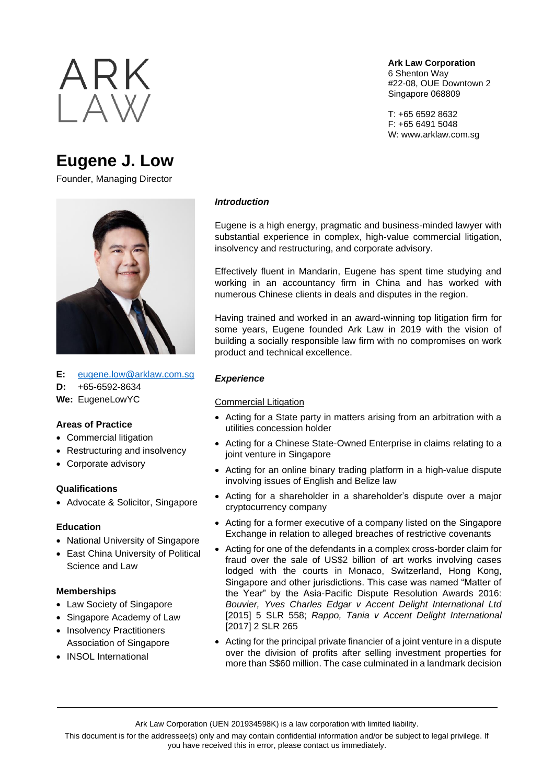

# **Eugene J. Low**

Founder, Managing Director



**E:** [eugene.low@arklaw.com.sg](mailto:eugene.low@arklaw.com.sg)

**D:** +65-6592-8634

**We:** EugeneLowYC

## **Areas of Practice**

- Commercial litigation
- Restructuring and insolvency
- Corporate advisory

## **Qualifications**

• Advocate & Solicitor, Singapore

## **Education**

- National University of Singapore
- East China University of Political Science and Law

## **Memberships**

- Law Society of Singapore
- Singapore Academy of Law
- Insolvency Practitioners Association of Singapore
- INSOL International

**Ark Law Corporation** 6 Shenton Way #22-08, OUE Downtown 2 Singapore 068809

T: +65 6592 8632 F: +65 6491 5048 W: www.arklaw.com.sg

#### *Introduction*

Eugene is a high energy, pragmatic and business-minded lawyer with substantial experience in complex, high-value commercial litigation, insolvency and restructuring, and corporate advisory.

Effectively fluent in Mandarin, Eugene has spent time studying and working in an accountancy firm in China and has worked with numerous Chinese clients in deals and disputes in the region.

Having trained and worked in an award-winning top litigation firm for some years, Eugene founded Ark Law in 2019 with the vision of building a socially responsible law firm with no compromises on work product and technical excellence.

## *Experience*

## Commercial Litigation

- Acting for a State party in matters arising from an arbitration with a utilities concession holder
- Acting for a Chinese State-Owned Enterprise in claims relating to a joint venture in Singapore
- Acting for an online binary trading platform in a high-value dispute involving issues of English and Belize law
- Acting for a shareholder in a shareholder's dispute over a major cryptocurrency company
- Acting for a former executive of a company listed on the Singapore Exchange in relation to alleged breaches of restrictive covenants
- Acting for one of the defendants in a complex cross-border claim for fraud over the sale of US\$2 billion of art works involving cases lodged with the courts in Monaco, Switzerland, Hong Kong, Singapore and other jurisdictions. This case was named "Matter of the Year" by the Asia-Pacific Dispute Resolution Awards 2016: *Bouvier, Yves Charles Edgar v Accent Delight International Ltd* [2015] 5 SLR 558; *Rappo, Tania v Accent Delight International* [2017] 2 SLR 265
- Acting for the principal private financier of a joint venture in a dispute over the division of profits after selling investment properties for more than S\$60 million. The case culminated in a landmark decision

This document is for the addressee(s) only and may contain confidential information and/or be subject to legal privilege. If you have received this in error, please contact us immediately.

Ark Law Corporation (UEN 201934598K) is a law corporation with limited liability.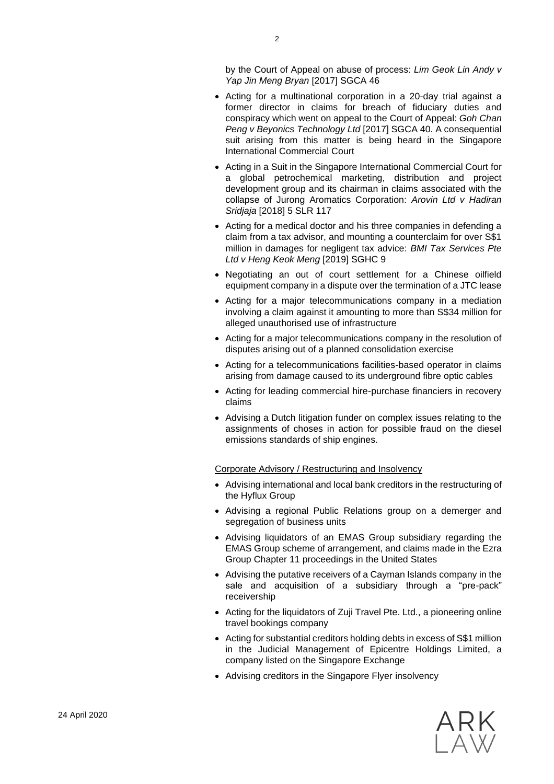by the Court of Appeal on abuse of process: *Lim Geok Lin Andy v Yap Jin Meng Bryan* [2017] SGCA 46

- Acting for a multinational corporation in a 20-day trial against a former director in claims for breach of fiduciary duties and conspiracy which went on appeal to the Court of Appeal: *Goh Chan Peng v Beyonics Technology Ltd* [2017] SGCA 40. A consequential suit arising from this matter is being heard in the Singapore International Commercial Court
- Acting in a Suit in the Singapore International Commercial Court for a global petrochemical marketing, distribution and project development group and its chairman in claims associated with the collapse of Jurong Aromatics Corporation: *Arovin Ltd v Hadiran Sridjaja* [2018] 5 SLR 117
- Acting for a medical doctor and his three companies in defending a claim from a tax advisor, and mounting a counterclaim for over S\$1 million in damages for negligent tax advice: *BMI Tax Services Pte Ltd v Heng Keok Meng* [2019] SGHC 9
- Negotiating an out of court settlement for a Chinese oilfield equipment company in a dispute over the termination of a JTC lease
- Acting for a major telecommunications company in a mediation involving a claim against it amounting to more than S\$34 million for alleged unauthorised use of infrastructure
- Acting for a major telecommunications company in the resolution of disputes arising out of a planned consolidation exercise
- Acting for a telecommunications facilities-based operator in claims arising from damage caused to its underground fibre optic cables
- Acting for leading commercial hire-purchase financiers in recovery claims
- Advising a Dutch litigation funder on complex issues relating to the assignments of choses in action for possible fraud on the diesel emissions standards of ship engines.

Corporate Advisory / Restructuring and Insolvency

- Advising international and local bank creditors in the restructuring of the Hyflux Group
- Advising a regional Public Relations group on a demerger and segregation of business units
- Advising liquidators of an EMAS Group subsidiary regarding the EMAS Group scheme of arrangement, and claims made in the Ezra Group Chapter 11 proceedings in the United States
- Advising the putative receivers of a Cayman Islands company in the sale and acquisition of a subsidiary through a "pre-pack" receivership
- Acting for the liquidators of Zuji Travel Pte. Ltd., a pioneering online travel bookings company
- Acting for substantial creditors holding debts in excess of S\$1 million in the Judicial Management of Epicentre Holdings Limited, a company listed on the Singapore Exchange
- Advising creditors in the Singapore Flyer insolvency